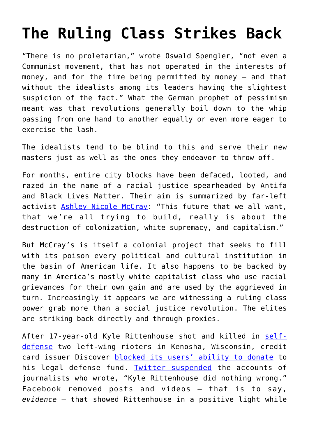## **[The Ruling Class Strikes Back](https://intellectualtakeout.org/2020/09/the-ruling-class-strikes-back/)**

"There is no proletarian," wrote Oswald Spengler, "not even a Communist movement, that has not operated in the interests of money, and for the time being permitted by money – and that without the idealists among its leaders having the slightest suspicion of the fact." What the German prophet of pessimism meant was that revolutions generally boil down to the whip passing from one hand to another equally or even more eager to exercise the lash.

The idealists tend to be blind to this and serve their new masters just as well as the ones they endeavor to throw off.

For months, entire city blocks have been defaced, looted, and razed in the name of a racial justice spearheaded by Antifa and Black Lives Matter. Their aim is summarized by far-left activist [Ashley Nicole McCray:](https://youtu.be/oIGEO1Onypc?t=592) "This future that we all want, that we're all trying to build, really is about the destruction of colonization, white supremacy, and capitalism."

But McCray's is itself a colonial project that seeks to fill with its poison every political and cultural institution in the basin of American life. It also happens to be backed by many in America's mostly white capitalist class who use racial grievances for their own gain and are used by the aggrieved in turn. Increasingly it appears we are witnessing a ruling class power grab more than a social justice revolution. The elites are striking back directly and through proxies.

After 17-year-old Kyle Rittenhouse shot and killed in [self](https://www.revolver.news/2020/08/new-york-times-confirms-kyle-rittenhouse-self-defense-argument/)[defense](https://www.revolver.news/2020/08/new-york-times-confirms-kyle-rittenhouse-self-defense-argument/) two left-wing rioters in Kenosha, Wisconsin, credit card issuer Discover [blocked its users' ability to donate](https://www.forbes.com/sites/karenrobinsonjacobs/2020/09/03/discover-blocks-credit-card-donations-to-christian-site-collecting-for-alleged-teen-shooter-kyle-rittenhouse/#38a1a62e1585) to his legal defense fund. [Twitter suspended](https://nationalfile.com/twitter-suspends-journalists-for-writing-kyle-rittenhouse-did-nothing-wrong/) the accounts of journalists who wrote, "Kyle Rittenhouse did nothing wrong." Facebook removed posts and videos – that is to say, *evidence* – that showed Rittenhouse in a positive light while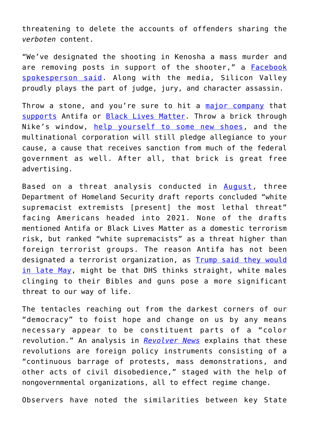threatening to delete the accounts of offenders sharing the *verboten* content.

"We've designated the shooting in Kenosha a mass murder and are removing posts in support of the shooter," a [Facebook](https://disrn.com/news/facebook-weve-designated-the-shooting-in-kenosha-a-mass-murder-and-are-removing-posts-in-support-of-kyle-rittenhouse) [spokesperson said](https://disrn.com/news/facebook-weve-designated-the-shooting-in-kenosha-a-mass-murder-and-are-removing-posts-in-support-of-kyle-rittenhouse). Along with the media, Silicon Valley proudly plays the part of judge, jury, and character assassin.

Throw a stone, and you're sure to hit a [major company](https://builtin.com/diversity-inclusion/companies-that-support-black-lives-matter-social-justice) that [supports](https://www.cnet.com/how-to/companies-donating-black-lives-matter/) Antifa or [Black Lives Matter.](https://www.dailysignal.com/2020/07/07/these-18-corporations-gave-money-to-black-lives-matter-group/) Throw a brick through Nike's window, [help yourself to some new shoes,](https://twitter.com/BenPopeCST/status/1266887022024757249?s=20) and the multinational corporation will still pledge allegiance to your cause, a cause that receives sanction from much of the federal government as well. After all, that brick is great free advertising.

Based on a threat analysis conducted in [August](https://www.politico.com/news/2020/09/04/white-supremacists-terror-threat-dhs-409236), three Department of Homeland Security draft reports concluded "white supremacist extremists [present] the most lethal threat" facing Americans headed into 2021. None of the drafts mentioned Antifa or Black Lives Matter as a domestic terrorism risk, but ranked "white supremacists" as a threat higher than foreign terrorist groups. The reason Antifa has not been designated a terrorist organization, as [Trump said they would](https://twitter.com/realDonaldTrump/status/1267129644228247552?s=20) [in late May,](https://twitter.com/realDonaldTrump/status/1267129644228247552?s=20) might be that DHS thinks straight, white males clinging to their Bibles and guns pose a more significant threat to our way of life.

The tentacles reaching out from the darkest corners of our "democracy" to foist hope and change on us by any means necessary appear to be constituent parts of a "color revolution." An analysis in *[Revolver News](https://www.revolver.news/2020/08/george-kent-never-trump-state-department/)* explains that these revolutions are foreign policy instruments consisting of a "continuous barrage of protests, mass demonstrations, and other acts of civil disobedience," staged with the help of nongovernmental organizations, all to effect regime change.

Observers have noted the similarities between key State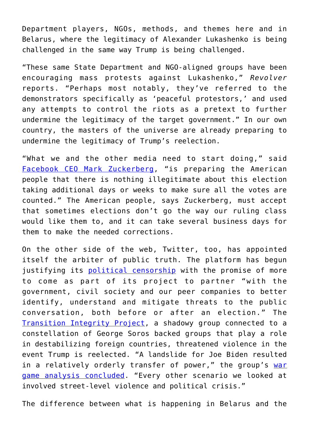Department players, NGOs, methods, and themes here and in Belarus, where the legitimacy of Alexander Lukashenko is being challenged in the same way Trump is being challenged.

"These same State Department and NGO-aligned groups have been encouraging mass protests against Lukashenko," *Revolver* reports. "Perhaps most notably, they've referred to the demonstrators specifically as 'peaceful protestors,' and used any attempts to control the riots as a pretext to further undermine the legitimacy of the target government." In our own country, the masters of the universe are already preparing to undermine the legitimacy of Trump's reelection.

"What we and the other media need to start doing," said [Facebook CEO Mark Zuckerberg,](https://twitter.com/Perpetualmaniac/status/1303097486437879808?s=20) "is preparing the American people that there is nothing illegitimate about this election taking additional days or weeks to make sure all the votes are counted." The American people, says Zuckerberg, must accept that sometimes elections don't go the way our ruling class would like them to, and it can take several business days for them to make the needed corrections.

On the other side of the web, Twitter, too, has appointed itself the arbiter of public truth. The platform has begun justifying its [political censorship](https://www.deccanchronicle.com/technology/in-other-news/220820/facebook-twitter-youtube-prepare-to-tackle-trump-attacks-if-he-doesn.html) with the promise of more to come as part of its project to partner "with the government, civil society and our peer companies to better identify, understand and mitigate threats to the public conversation, both before or after an election." The [Transition Integrity Project](https://www.revolver.news/2020/09/transition-integrity-project-is-this-soros-linked-group-plotting-a-color-revolution-against-president-trump/), a shadowy group connected to a constellation of George Soros backed groups that play a role in destabilizing foreign countries, threatened violence in the event Trump is reelected. "A landslide for Joe Biden resulted in a relatively orderly transfer of power," the group's [war](https://www.washingtonpost.com/outlook/2020/09/03/trump-stay-in-office/?arc404=true) [game analysis concluded](https://www.washingtonpost.com/outlook/2020/09/03/trump-stay-in-office/?arc404=true). "Every other scenario we looked at involved street-level violence and political crisis."

The difference between what is happening in Belarus and the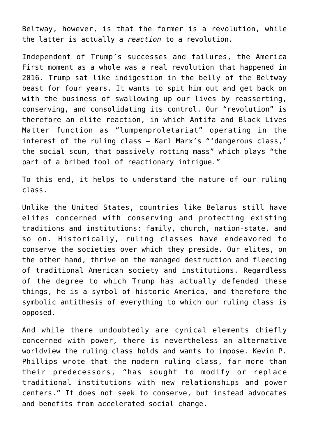Beltway, however, is that the former is a revolution, while the latter is actually a *reaction* to a revolution.

Independent of Trump's successes and failures, the America First moment as a whole was a real revolution that happened in 2016. Trump sat like indigestion in the belly of the Beltway beast for four years. It wants to spit him out and get back on with the business of swallowing up our lives by reasserting, conserving, and consolidating its control. Our "revolution" is therefore an elite reaction, in which Antifa and Black Lives Matter function as "lumpenproletariat" operating in the interest of the ruling class – Karl Marx's "'dangerous class,' the social scum, that passively rotting mass" which plays "the part of a bribed tool of reactionary intrigue."

To this end, it helps to understand the nature of our ruling class.

Unlike the United States, countries like Belarus still have elites concerned with conserving and protecting existing traditions and institutions: family, church, nation-state, and so on. Historically, ruling classes have endeavored to conserve the societies over which they preside. Our elites, on the other hand, thrive on the managed destruction and fleecing of traditional American society and institutions. Regardless of the degree to which Trump has actually defended these things, he is a symbol of historic America, and therefore the symbolic antithesis of everything to which our ruling class is opposed.

And while there undoubtedly are cynical elements chiefly concerned with power, there is nevertheless an alternative worldview the ruling class holds and wants to impose. Kevin P. Phillips wrote that the modern ruling class, far more than their predecessors, "has sought to modify or replace traditional institutions with new relationships and power centers." It does not seek to conserve, but instead advocates and benefits from accelerated social change.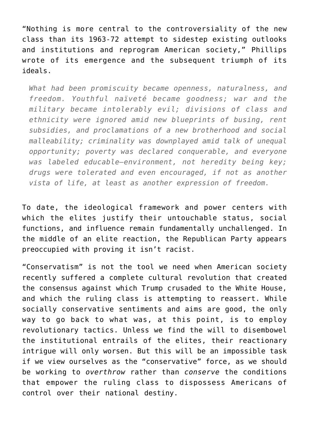"Nothing is more central to the controversiality of the new class than its 1963-72 attempt to sidestep existing outlooks and institutions and reprogram American society," Phillips wrote of its emergence and the subsequent triumph of its ideals.

*What had been promiscuity became openness, naturalness, and freedom. Youthful naïveté became goodness; war and the military became intolerably evil; divisions of class and ethnicity were ignored amid new blueprints of busing, rent subsidies, and proclamations of a new brotherhood and social malleability; criminality was downplayed amid talk of unequal opportunity; poverty was declared conquerable, and everyone was labeled educable―environment, not heredity being key; drugs were tolerated and even encouraged, if not as another vista of life, at least as another expression of freedom.*

To date, the ideological framework and power centers with which the elites justify their untouchable status, social functions, and influence remain fundamentally unchallenged. In the middle of an elite reaction, the Republican Party appears preoccupied with proving it isn't racist.

"Conservatism" is not the tool we need when American society recently suffered a complete cultural revolution that created the consensus against which Trump crusaded to the White House, and which the ruling class is attempting to reassert. While socially conservative sentiments and aims are good, the only way to go back to what was, at this point, is to employ revolutionary tactics. Unless we find the will to disembowel the institutional entrails of the elites, their reactionary intrigue will only worsen. But this will be an impossible task if we view ourselves as the "conservative" force, as we should be working to *overthrow* rather than *conserve* the conditions that empower the ruling class to dispossess Americans of control over their national destiny.